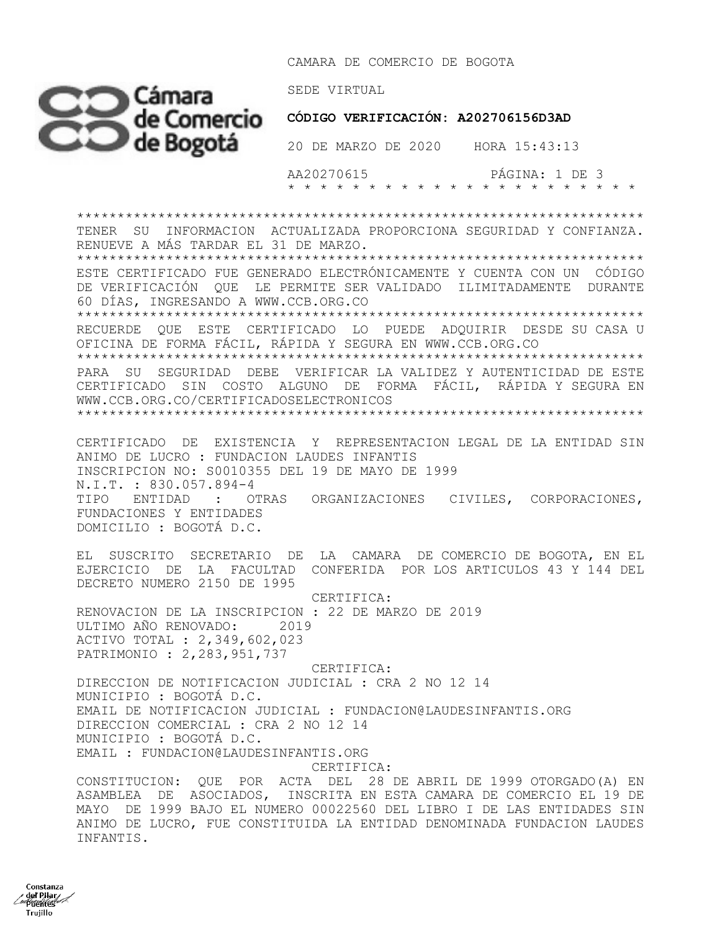CAMARA DE COMERCIO DE BOGOTA



Constanza  $\frac{1}{2}$  del Piłar Puentes Trujillo

 AA20270615 PÁGINA: 1 DE 3 \* \* \* \* \* \* \* \* \* \* \* \* \* \* \* \* \* \* \* \* \* \*

\*\*\*\*\*\*\*\*\*\*\*\*\*\*\*\*\*\*\*\*\*\*\*\*\*\*\*\*\*\*\*\*\*\*\*\*\*\*\*\*\*\*\*\*\*\*\*\*\*\*\*\*\*\*\*\*\*\*\*\*\*\*\*\*\*\*\*\*\*\* TENER SU INFORMACION ACTUALIZADA PROPORCIONA SEGURIDAD Y CONFIANZA. RENUEVE A MÁS TARDAR EL 31 DE MARZO. \*\*\*\*\*\*\*\*\*\*\*\*\*\*\*\*\*\*\*\*\*\*\*\*\*\*\*\*\*\*\*\*\*\*\*\*\*\*\*\*\*\*\*\*\*\*\*\*\*\*\*\*\*\*\*\*\*\*\*\*\*\*\*\*\*\*\*\*\*\* ESTE CERTIFICADO FUE GENERADO ELECTRÓNICAMENTE Y CUENTA CON UN CÓDIGO DE VERIFICACIÓN QUE LE PERMITE SER VALIDADO ILIMITADAMENTE DURANTE 60 DÍAS, INGRESANDO A WWW.CCB.ORG.CO \*\*\*\*\*\*\*\*\*\*\*\*\*\*\*\*\*\*\*\*\*\*\*\*\*\*\*\*\*\*\*\*\*\*\*\*\*\*\*\*\*\*\*\*\*\*\*\*\*\*\*\*\*\*\*\*\*\*\*\*\*\*\*\*\*\*\*\*\*\* RECUERDE QUE ESTE CERTIFICADO LO PUEDE ADQUIRIR DESDE SU CASA U OFICINA DE FORMA FÁCIL, RÁPIDA Y SEGURA EN WWW.CCB.ORG.CO \*\*\*\*\*\*\*\*\*\*\*\*\*\*\*\*\*\*\*\*\*\*\*\*\*\*\*\*\*\*\*\*\*\*\*\*\*\*\*\*\*\*\*\*\*\*\*\*\*\*\*\*\*\*\*\*\*\*\*\*\*\*\*\*\*\*\*\*\*\* PARA SU SEGURIDAD DEBE VERIFICAR LA VALIDEZ Y AUTENTICIDAD DE ESTE CERTIFICADO SIN COSTO ALGUNO DE FORMA FÁCIL, RÁPIDA Y SEGURA EN WWW.CCB.ORG.CO/CERTIFICADOSELECTRONICOS \*\*\*\*\*\*\*\*\*\*\*\*\*\*\*\*\*\*\*\*\*\*\*\*\*\*\*\*\*\*\*\*\*\*\*\*\*\*\*\*\*\*\*\*\*\*\*\*\*\*\*\*\*\*\*\*\*\*\*\*\*\*\*\*\*\*\*\*\*\*

CERTIFICADO DE EXISTENCIA Y REPRESENTACION LEGAL DE LA ENTIDAD SIN ANIMO DE LUCRO : FUNDACION LAUDES INFANTIS INSCRIPCION NO: S0010355 DEL 19 DE MAYO DE 1999 N.I.T. : 830.057.894-4 TIPO ENTIDAD : OTRAS ORGANIZACIONES CIVILES, CORPORACIONES, FUNDACIONES Y ENTIDADES DOMICILIO : BOGOTÁ D.C.

EL SUSCRITO SECRETARIO DE LA CAMARA DE COMERCIO DE BOGOTA, EN EL EJERCICIO DE LA FACULTAD CONFERIDA POR LOS ARTICULOS 43 Y 144 DEL DECRETO NUMERO 2150 DE 1995

 CERTIFICA: RENOVACION DE LA INSCRIPCION : 22 DE MARZO DE 2019 ULTIMO AÑO RENOVADO: 2019 ACTIVO TOTAL : 2,349,602,023 PATRIMONIO : 2,283,951,737

 CERTIFICA: DIRECCION DE NOTIFICACION JUDICIAL : CRA 2 NO 12 14 MUNICIPIO : BOGOTÁ D.C. EMAIL DE NOTIFICACION JUDICIAL : FUNDACION@LAUDESINFANTIS.ORG DIRECCION COMERCIAL : CRA 2 NO 12 14 MUNICIPIO : BOGOTÁ D.C. EMAIL : FUNDACION@LAUDESINFANTIS.ORG CERTIFICA:

CONSTITUCION: QUE POR ACTA DEL 28 DE ABRIL DE 1999 OTORGADO(A) EN ASAMBLEA DE ASOCIADOS, INSCRITA EN ESTA CAMARA DE COMERCIO EL 19 DE MAYO DE 1999 BAJO EL NUMERO 00022560 DEL LIBRO I DE LAS ENTIDADES SIN ANIMO DE LUCRO, FUE CONSTITUIDA LA ENTIDAD DENOMINADA FUNDACION LAUDES INFANTIS.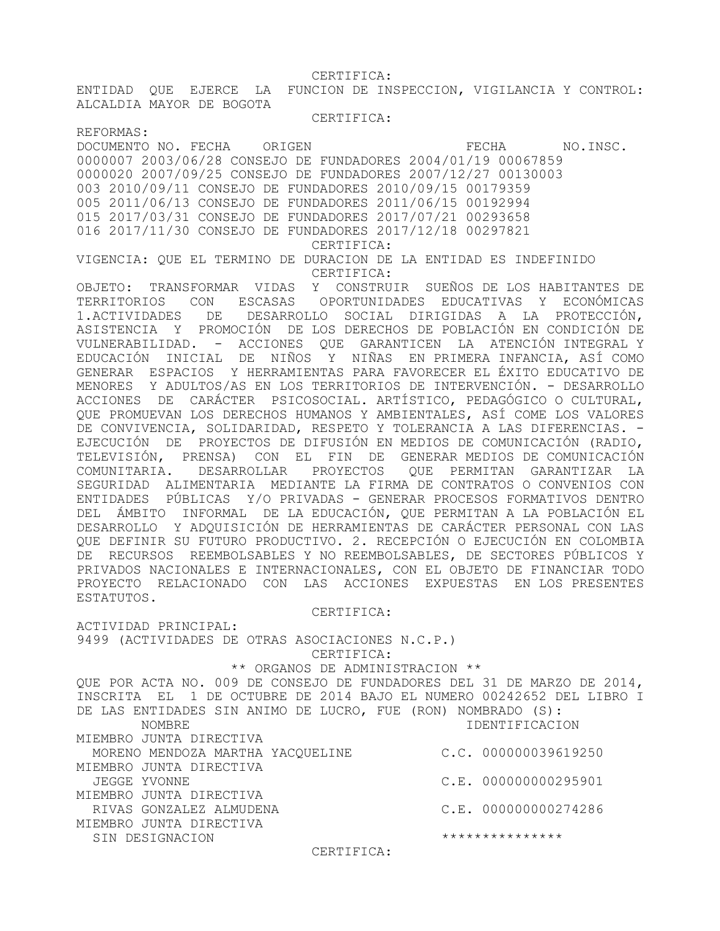CERTIFICA:

ALCALDIA MAYOR DE BOGOTA

ENTIDAD QUE EJERCE LA FUNCION DE INSPECCION, VIGILANCIA Y CONTROL:

 CERTIFICA: REFORMAS: DOCUMENTO NO. FECHA ORIGEN CONSIDER TECHA NO.INSC. 0000007 2003/06/28 CONSEJO DE FUNDADORES 2004/01/19 00067859 0000020 2007/09/25 CONSEJO DE FUNDADORES 2007/12/27 00130003 003 2010/09/11 CONSEJO DE FUNDADORES 2010/09/15 00179359 005 2011/06/13 CONSEJO DE FUNDADORES 2011/06/15 00192994 015 2017/03/31 CONSEJO DE FUNDADORES 2017/07/21 00293658 016 2017/11/30 CONSEJO DE FUNDADORES 2017/12/18 00297821 CERTIFICA: VIGENCIA: QUE EL TERMINO DE DURACION DE LA ENTIDAD ES INDEFINIDO CERTIFICA: OBJETO: TRANSFORMAR VIDAS Y CONSTRUIR SUEÑOS DE LOS HABITANTES DE TERRITORIOS CON ESCASAS OPORTUNIDADES EDUCATIVAS Y ECONÓMICAS 1.ACTIVIDADES DE DESARROLLO SOCIAL DIRIGIDAS A LA PROTECCIÓN, ASISTENCIA Y PROMOCIÓN DE LOS DERECHOS DE POBLACIÓN EN CONDICIÓN DE VULNERABILIDAD. - ACCIONES QUE GARANTICEN LA ATENCIÓN INTEGRAL Y EDUCACIÓN INICIAL DE NIÑOS Y NIÑAS EN PRIMERA INFANCIA, ASÍ COMO GENERAR ESPACIOS Y HERRAMIENTAS PARA FAVORECER EL ÉXITO EDUCATIVO DE MENORES Y ADULTOS/AS EN LOS TERRITORIOS DE INTERVENCIÓN. - DESARROLLO ACCIONES DE CARÁCTER PSICOSOCIAL. ARTÍSTICO, PEDAGÓGICO O CULTURAL, QUE PROMUEVAN LOS DERECHOS HUMANOS Y AMBIENTALES, ASÍ COME LOS VALORES DE CONVIVENCIA, SOLIDARIDAD, RESPETO Y TOLERANCIA A LAS DIFERENCIAS. -EJECUCIÓN DE PROYECTOS DE DIFUSIÓN EN MEDIOS DE COMUNICACIÓN (RADIO, TELEVISIÓN, PRENSA) CON EL FIN DE GENERAR MEDIOS DE COMUNICACIÓN COMUNITARIA. DESARROLLAR PROYECTOS QUE PERMITAN GARANTIZAR LA SEGURIDAD ALIMENTARIA MEDIANTE LA FIRMA DE CONTRATOS O CONVENIOS CON ENTIDADES PÚBLICAS Y/O PRIVADAS - GENERAR PROCESOS FORMATIVOS DENTRO DEL ÁMBITO INFORMAL DE LA EDUCACIÓN, QUE PERMITAN A LA POBLACIÓN EL DESARROLLO Y ADQUISICIÓN DE HERRAMIENTAS DE CARÁCTER PERSONAL CON LAS QUE DEFINIR SU FUTURO PRODUCTIVO. 2. RECEPCIÓN O EJECUCIÓN EN COLOMBIA DE RECURSOS REEMBOLSABLES Y NO REEMBOLSABLES, DE SECTORES PÚBLICOS Y PRIVADOS NACIONALES E INTERNACIONALES, CON EL OBJETO DE FINANCIAR TODO PROYECTO RELACIONADO CON LAS ACCIONES EXPUESTAS EN LOS PRESENTES ESTATUTOS. CERTIFICA: ACTIVIDAD PRINCIPAL: 9499 (ACTIVIDADES DE OTRAS ASOCIACIONES N.C.P.) CERTIFICA: \*\* ORGANOS DE ADMINISTRACION \*\* QUE POR ACTA NO. 009 DE CONSEJO DE FUNDADORES DEL 31 DE MARZO DE 2014, INSCRITA EL 1 DE OCTUBRE DE 2014 BAJO EL NUMERO 00242652 DEL LIBRO I DE LAS ENTIDADES SIN ANIMO DE LUCRO, FUE (RON) NOMBRADO (S): NOMBRE IDENTIFICACION MIEMBRO JUNTA DIRECTIVA MORENO MENDOZA MARTHA YACQUELINE C.C. 000000039619250 MIEMBRO JUNTA DIRECTIVA JEGGE YVONNE C.E. 000000000295901 MIEMBRO JUNTA DIRECTIVA RIVAS GONZALEZ ALMUDENA C.E. 000000000274286 MIEMBRO JUNTA DIRECTIVA SIN DESIGNACION \*\*\*\*\*\*\*\*\*\*\*\*\*\*\* CERTIFICA: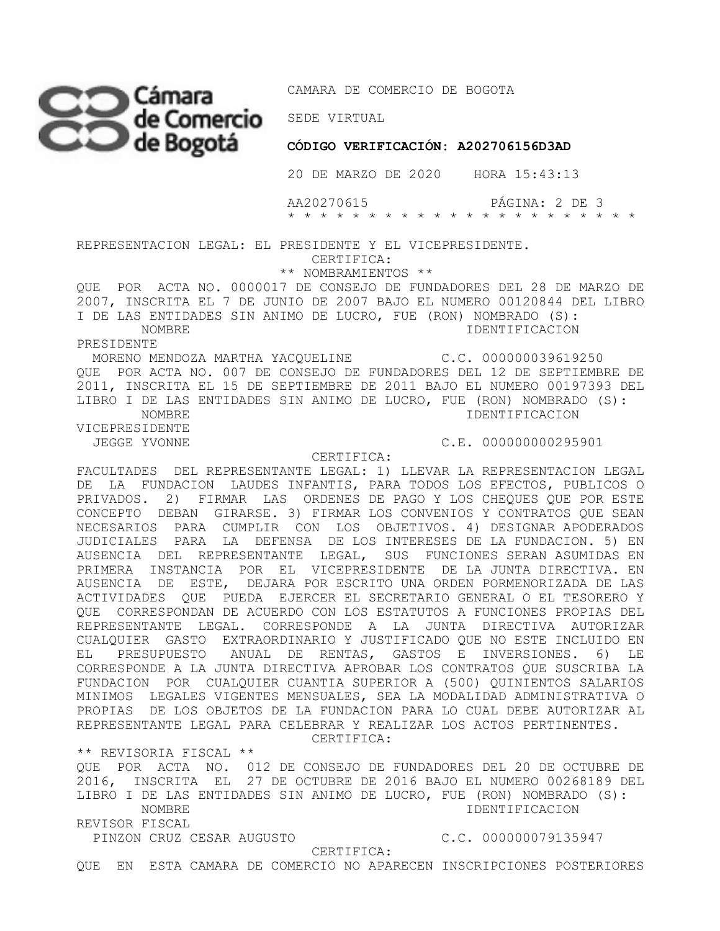

**CÓDIGO VERIFICACIÓN: A202706156D3AD** 

20 DE MARZO DE 2020 HORA 15:43:13

 AA20270615 PÁGINA: 2 DE 3 \* \* \* \* \* \* \* \* \* \* \* \* \* \* \* \* \* \* \* \* \* \*

REPRESENTACION LEGAL: EL PRESIDENTE Y EL VICEPRESIDENTE.

CERTIFICA:

\*\* NOMBRAMIENTOS \*\*

QUE POR ACTA NO. 0000017 DE CONSEJO DE FUNDADORES DEL 28 DE MARZO DE 2007, INSCRITA EL 7 DE JUNIO DE 2007 BAJO EL NUMERO 00120844 DEL LIBRO I DE LAS ENTIDADES SIN ANIMO DE LUCRO, FUE (RON) NOMBRADO (S): NOMBRE IDENTIFICACION

PRESIDENTE

 MORENO MENDOZA MARTHA YACQUELINE C.C. 000000039619250 QUE POR ACTA NO. 007 DE CONSEJO DE FUNDADORES DEL 12 DE SEPTIEMBRE DE 2011, INSCRITA EL 15 DE SEPTIEMBRE DE 2011 BAJO EL NUMERO 00197393 DEL LIBRO I DE LAS ENTIDADES SIN ANIMO DE LUCRO, FUE (RON) NOMBRADO (S): NOMBRE IDENTIFICACION VICEPRESIDENTE

CERTIFICA:

JEGGE YVONNE C.E. 000000000295901

FACULTADES DEL REPRESENTANTE LEGAL: 1) LLEVAR LA REPRESENTACION LEGAL DE LA FUNDACION LAUDES INFANTIS, PARA TODOS LOS EFECTOS, PUBLICOS O PRIVADOS. 2) FIRMAR LAS ORDENES DE PAGO Y LOS CHEQUES QUE POR ESTE CONCEPTO DEBAN GIRARSE. 3) FIRMAR LOS CONVENIOS Y CONTRATOS QUE SEAN NECESARIOS PARA CUMPLIR CON LOS OBJETIVOS. 4) DESIGNAR APODERADOS JUDICIALES PARA LA DEFENSA DE LOS INTERESES DE LA FUNDACION. 5) EN AUSENCIA DEL REPRESENTANTE LEGAL, SUS FUNCIONES SERAN ASUMIDAS EN PRIMERA INSTANCIA POR EL VICEPRESIDENTE DE LA JUNTA DIRECTIVA. EN AUSENCIA DE ESTE, DEJARA POR ESCRITO UNA ORDEN PORMENORIZADA DE LAS ACTIVIDADES QUE PUEDA EJERCER EL SECRETARIO GENERAL O EL TESORERO Y QUE CORRESPONDAN DE ACUERDO CON LOS ESTATUTOS A FUNCIONES PROPIAS DEL REPRESENTANTE LEGAL. CORRESPONDE A LA JUNTA DIRECTIVA AUTORIZAR CUALQUIER GASTO EXTRAORDINARIO Y JUSTIFICADO QUE NO ESTE INCLUIDO EN EL PRESUPUESTO ANUAL DE RENTAS, GASTOS E INVERSIONES. 6) LE CORRESPONDE A LA JUNTA DIRECTIVA APROBAR LOS CONTRATOS QUE SUSCRIBA LA FUNDACION POR CUALQUIER CUANTIA SUPERIOR A (500) QUINIENTOS SALARIOS MINIMOS LEGALES VIGENTES MENSUALES, SEA LA MODALIDAD ADMINISTRATIVA O PROPIAS DE LOS OBJETOS DE LA FUNDACION PARA LO CUAL DEBE AUTORIZAR AL REPRESENTANTE LEGAL PARA CELEBRAR Y REALIZAR LOS ACTOS PERTINENTES.

CERTIFICA:

\*\* REVISORIA FISCAL \*\* QUE POR ACTA NO. 012 DE CONSEJO DE FUNDADORES DEL 20 DE OCTUBRE DE 2016, INSCRITA EL 27 DE OCTUBRE DE 2016 BAJO EL NUMERO 00268189 DEL LIBRO I DE LAS ENTIDADES SIN ANIMO DE LUCRO, FUE (RON) NOMBRADO (S): NOMBRE IDENTIFICACION REVISOR FISCAL PINZON CRUZ CESAR AUGUSTO C.C. 000000079135947

CERTIFICA:

QUE EN ESTA CAMARA DE COMERCIO NO APARECEN INSCRIPCIONES POSTERIORES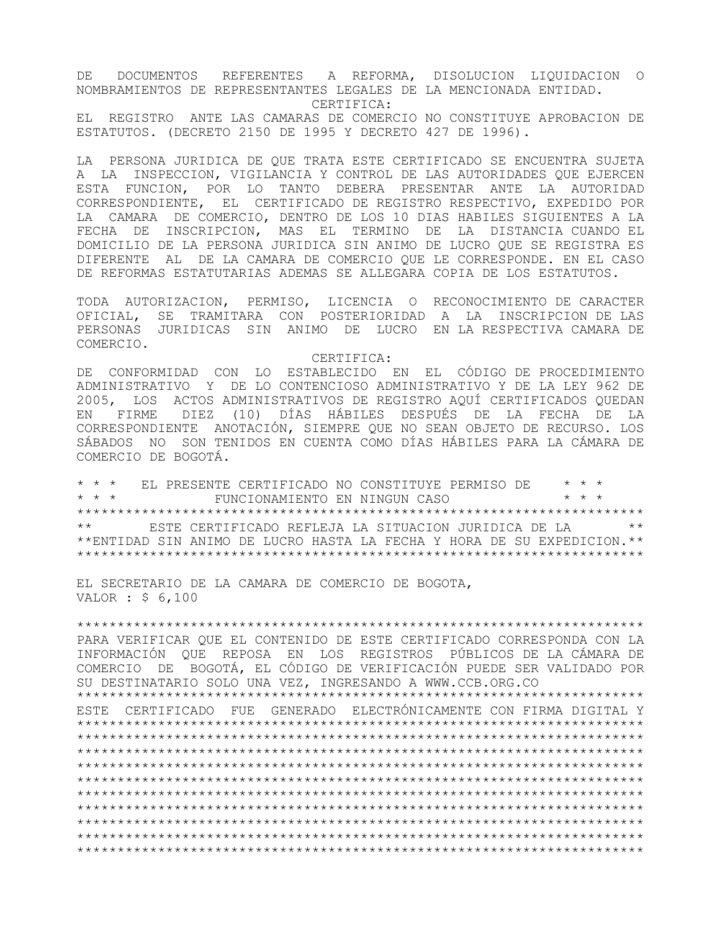DE DOCUMENTOS REFERENTES A REFORMA, DISOLUCION LIQUIDACION O NOMBRAMIENTOS DE REPRESENTANTES LEGALES DE LA MENCIONADA ENTIDAD. CERTIFICA:

EL REGISTRO ANTE LAS CAMARAS DE COMERCIO NO CONSTITUYE APROBACION DE ESTATUTOS. (DECRETO 2150 DE 1995 Y DECRETO 427 DE 1996).

LA PERSONA JURIDICA DE QUE TRATA ESTE CERTIFICADO SE ENCUENTRA SUJETA A LA INSPECCION, VIGILANCIA Y CONTROL DE LAS AUTORIDADES QUE EJERCEN ESTA FUNCION, POR LO TANTO DEBERA PRESENTAR ANTE LA AUTORIDAD CORRESPONDIENTE, EL CERTIFICADO DE REGISTRO RESPECTIVO, EXPEDIDO POR LA CAMARA DE COMERCIO, DENTRO DE LOS 10 DIAS HABILES SIGUIENTES A LA FECHA DE INSCRIPCION, MAS EL TERMINO DE LA DISTANCIA CUANDO EL DOMICILIO DE LA PERSONA JURIDICA SIN ANIMO DE LUCRO QUE SE REGISTRA ES DIFERENTE AL DE LA CAMARA DE COMERCIO QUE LE CORRESPONDE. EN EL CASO DE REFORMAS ESTATUTARIAS ADEMAS SE ALLEGARA COPIA DE LOS ESTATUTOS.

TODA AUTORIZACION, PERMISO, LICENCIA O RECONOCIMIENTO DE CARACTER OFICIAL, SE TRAMITARA CON POSTERIORIDAD A LA INSCRIPCION DE LAS PERSONAS JURIDICAS SIN ANIMO DE LUCRO EN LA RESPECTIVA CAMARA DE COMERCIO.

CERTIFICA:

DE CONFORMIDAD CON LO ESTABLECIDO EN EL CÓDIGO DE PROCEDIMIENTO ADMINISTRATIVO Y DE LO CONTENCIOSO ADMINISTRATIVO Y DE LA LEY 962 DE 2005, LOS ACTOS ADMINISTRATIVOS DE REGISTRO AQUÍ CERTIFICADOS QUEDAN EN FIRME DIEZ (10) DÍAS HÁBILES DESPUÉS DE LA FECHA DE LA CORRESPONDIENTE ANOTACIÓN, SIEMPRE QUE NO SEAN OBJETO DE RECURSO. LOS SÁBADOS NO SON TENIDOS EN CUENTA COMO DÍAS HÁBILES PARA LA CÁMARA DE COMERCIO DE BOGOTÁ.

\* \* \* EL PRESENTE CERTIFICADO NO CONSTITUYE PERMISO DE \* \* \* \* \* \* FUNCIONAMIENTO EN NINGUN CASO \* \* \* \*\*\*\*\*\*\*\*\*\*\*\*\*\*\*\*\*\*\*\*\*\*\*\*\*\*\*\*\*\*\*\*\*\*\*\*\*\*\*\*\*\*\*\*\*\*\*\*\*\*\*\*\*\*\*\*\*\*\*\*\*\*\*\*\*\*\*\*\*\* ESTE CERTIFICADO REFLEJA LA SITUACION JURIDICA DE LA  $\quad$  \*\* \*\*ENTIDAD SIN ANIMO DE LUCRO HASTA LA FECHA Y HORA DE SU EXPEDICION.\*\* \*\*\*\*\*\*\*\*\*\*\*\*\*\*\*\*\*\*\*\*\*\*\*\*\*\*\*\*\*\*\*\*\*\*\*\*\*\*\*\*\*\*\*\*\*\*\*\*\*\*\*\*\*\*\*\*\*\*\*\*\*\*\*\*\*\*\*\*\*\*

EL SECRETARIO DE LA CAMARA DE COMERCIO DE BOGOTA, VALOR : \$ 6,100

\*\*\*\*\*\*\*\*\*\*\*\*\*\*\*\*\*\*\*\*\*\*\*\*\*\*\*\*\*\*\*\*\*\*\*\*\*\*\*\*\*\*\*\*\*\*\*\*\*\*\*\*\*\*\*\*\*\*\*\*\*\*\*\*\*\*\*\*\*\* PARA VERIFICAR QUE EL CONTENIDO DE ESTE CERTIFICADO CORRESPONDA CON LA INFORMACIÓN QUE REPOSA EN LOS REGISTROS PÚBLICOS DE LA CÁMARA DE COMERCIO DE BOGOTÁ, EL CÓDIGO DE VERIFICACIÓN PUEDE SER VALIDADO POR SU DESTINATARIO SOLO UNA VEZ, INGRESANDO A WWW.CCB.ORG.CO \*\*\*\*\*\*\*\*\*\*\*\*\*\*\*\*\*\*\*\*\*\*\*\*\*\*\*\*\*\*\*\*\*\*\*\*\*\*\*\*\*\*\*\*\*\*\*\*\*\*\*\*\*\*\*\*\*\*\*\*\*\*\*\*\*\*\*\*\*\*

ESTE CERTIFICADO FUE GENERADO ELECTRÓNICAMENTE CON FIRMA DIGITAL Y \*\*\*\*\*\*\*\*\*\*\*\*\*\*\*\*\*\*\*\*\*\*\*\*\*\*\*\*\*\*\*\*\*\*\*\*\*\*\*\*\*\*\*\*\*\*\*\*\*\*\*\*\*\*\*\*\*\*\*\*\*\*\*\*\*\*\*\*\*\* \*\*\*\*\*\*\*\*\*\*\*\*\*\*\*\*\*\*\*\*\*\*\*\*\*\*\*\*\*\*\*\*\*\*\*\*\*\*\*\*\*\*\*\*\*\*\*\*\*\*\*\*\*\*\*\*\*\*\*\*\*\*\*\*\*\*\*\*\*\* \*\*\*\*\*\*\*\*\*\*\*\*\*\*\*\*\*\*\*\*\*\*\*\*\*\*\*\*\*\*\*\*\*\*\*\*\*\*\*\*\*\*\*\*\*\*\*\*\*\*\*\*\*\*\*\*\*\*\*\*\*\*\*\*\*\*\*\*\*\* \*\*\*\*\*\*\*\*\*\*\*\*\*\*\*\*\*\*\*\*\*\*\*\*\*\*\*\*\*\*\*\*\*\*\*\*\*\*\*\*\*\*\*\*\*\*\*\*\*\*\*\*\*\*\*\*\*\*\*\*\*\*\*\*\*\*\*\*\*\* \*\*\*\*\*\*\*\*\*\*\*\*\*\*\*\*\*\*\*\*\*\*\*\*\*\*\*\*\*\*\*\*\*\*\*\*\*\*\*\*\*\*\*\*\*\*\*\*\*\*\*\*\*\*\*\*\*\*\*\*\*\*\*\*\*\*\*\*\*\* \*\*\*\*\*\*\*\*\*\*\*\*\*\*\*\*\*\*\*\*\*\*\*\*\*\*\*\*\*\*\*\*\*\*\*\*\*\*\*\*\*\*\*\*\*\*\*\*\*\*\*\*\*\*\*\*\*\*\*\*\*\*\*\*\*\*\*\*\*\* \*\*\*\*\*\*\*\*\*\*\*\*\*\*\*\*\*\*\*\*\*\*\*\*\*\*\*\*\*\*\*\*\*\*\*\*\*\*\*\*\*\*\*\*\*\*\*\*\*\*\*\*\*\*\*\*\*\*\*\*\*\*\*\*\*\*\*\*\*\* \*\*\*\*\*\*\*\*\*\*\*\*\*\*\*\*\*\*\*\*\*\*\*\*\*\*\*\*\*\*\*\*\*\*\*\*\*\*\*\*\*\*\*\*\*\*\*\*\*\*\*\*\*\*\*\*\*\*\*\*\*\*\*\*\*\*\*\*\*\* \*\*\*\*\*\*\*\*\*\*\*\*\*\*\*\*\*\*\*\*\*\*\*\*\*\*\*\*\*\*\*\*\*\*\*\*\*\*\*\*\*\*\*\*\*\*\*\*\*\*\*\*\*\*\*\*\*\*\*\*\*\*\*\*\*\*\*\*\*\* \*\*\*\*\*\*\*\*\*\*\*\*\*\*\*\*\*\*\*\*\*\*\*\*\*\*\*\*\*\*\*\*\*\*\*\*\*\*\*\*\*\*\*\*\*\*\*\*\*\*\*\*\*\*\*\*\*\*\*\*\*\*\*\*\*\*\*\*\*\*